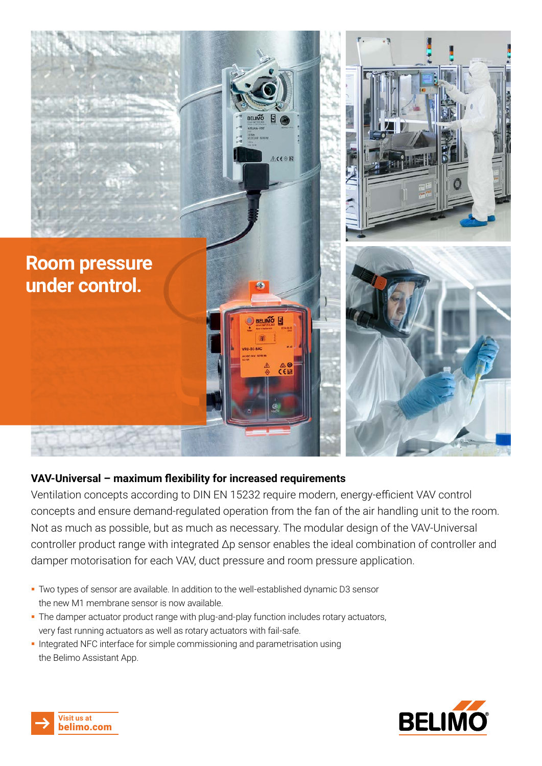

#### **VAV-Universal – maximum flexibility for increased requirements**

Ventilation concepts according to DIN EN 15232 require modern, energy-efficient VAV control concepts and ensure demand-regulated operation from the fan of the air handling unit to the room. Not as much as possible, but as much as necessary. The modular design of the VAV-Universal controller product range with integrated Δp sensor enables the ideal combination of controller and damper motorisation for each VAV, duct pressure and room pressure application.

- Two types of sensor are available. In addition to the well-established dynamic D3 sensor the new M1 membrane sensor is now available.
- The damper actuator product range with plug-and-play function includes rotary actuators, very fast running actuators as well as rotary actuators with fail-safe.
- Integrated NFC interface for simple commissioning and parametrisation using the Belimo Assistant App.